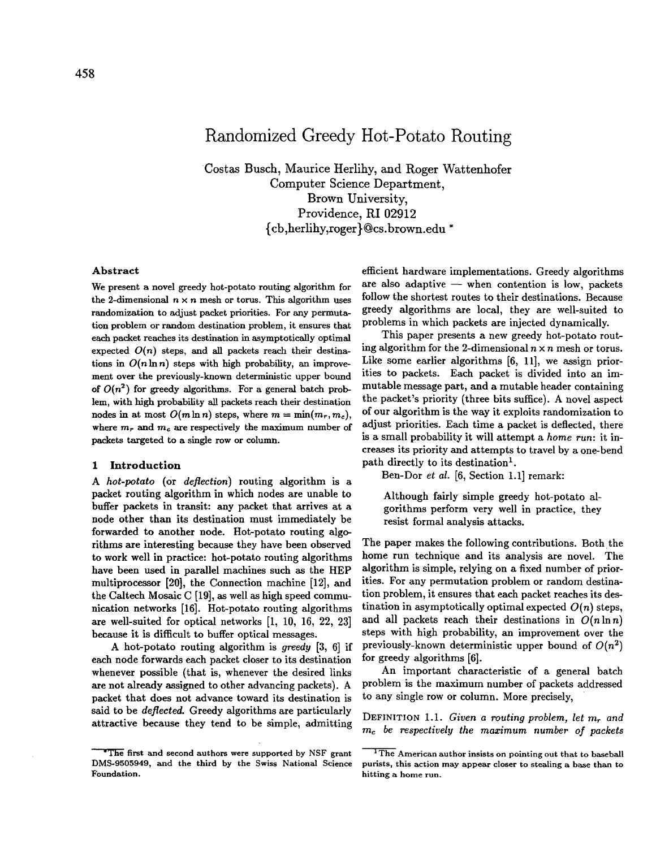# **Randomized Greedy Hot-Potato Routing**

Costas Busch, Maurice Herlihy, and Roger Wattenhofer Computer Science Department, Brown University, Providence, RI 02912 {cb,herlihy, roger}@cs.brown.edu \*

### **Abstract**

We present a novel greedy hot-potato routing algorithm for the 2-dimensional  $n \times n$  mesh or torus. This algorithm uses randomization to adjust packet priorities. For any permutation problem or random destination problem, it ensures that each packet reaches its destination in asymptotically optimal expected  $O(n)$  steps, and all packets reach their destinations in  $O(n \ln n)$  steps with high probability, an improvement over the previously-known deterministic upper bound of  $O(n^2)$  for greedy algorithms. For a general batch problem, with high probability all packets reach their destination nodes in at most  $O(m \ln n)$  steps, where  $m = \min(m_r, m_c)$ , where  $m_r$  and  $m_c$  are respectively the maximum number of packets targeted to a single row or column.

# **1 Introduction**

*A hot-potato* (or *deflection)* routing algorithm is a packet routing algorithm in which nodes are unable to buffer packets in transit: any packet that arrives at a node other than its destination must immediately be forwarded to another node. Hot-potato routing algorithms are interesting because they have been observed to work well in practice: hot-potato routing algorithms have been used in parallel machines such as the HEP multiprocessor [20], the Connection machine [12], and the Caltech Mosaic C [19], as well as high speed communication networks [16]. Hot-potato routing algorithms are well-suited for optical networks [1, 10, 16, 22, 23] because it is difficult to buffer optical messages.

A hot-potato routing algorithm is *greedy* [3, 6] if each node forwards each packet closer to its destination whenever possible (that is, whenever the desired links are not already assigned to other advancing packets). A packet that does not advance toward its destination is said to be *deflected.* Greedy algorithms are particularly attractive because they tend to be simple, admitting efficient hardware implementations. Greedy algorithms are also adaptive  $-$  when contention is low, packets follow the shortest routes to their destinations. Because greedy algorithms are local, they are well-suited to problems in which packets are injected dynamically.

This paper presents a new greedy hot-potato routing algorithm for the 2-dimensional  $n \times n$  mesh or torus. Like some earlier algorithms [6, 11], we assign priorities to packets. Each packet is divided into an immutable message part, and a mutable header containing the packet's priority (three bits suffice). A novel aspect of our algorithm is the way it exploits randomization to adjust priorities. Each time a packet is deflected, there is a small probability it will attempt a *home run:* it increases its priority and attempts to travel by a one-bend path directly to its destination<sup>1</sup>.

Ben-Dot *et al.* [6, Section 1.1] remark:

Although fairly simple greedy hot-potato algorithms perform very well in practice, they resist formal analysis attacks.

The paper makes the following contributions. Both the home run technique and its analysis are novel. The algorithm is simple, relying on a fixed number of priorities. For any permutation problem or random destination problem, it ensures that each packet reaches its destination in asymptotically optimal expected  $O(n)$  steps, and all packets reach their destinations in  $O(n \ln n)$ steps with high probability, an improvement over the previously-known deterministic upper bound of  $O(n^2)$ for greedy algorithms [6].

An important characteristic of a general batch problem is the maximum number of packets addressed to any single row or column. More precisely,

DEFINITION 1.1. *Given a routing problem, let mr and me be respectively the maximum number of packets* 

The first and second authors were supported by NSF grant DMS-9505949, and **the third** by the Swiss National Science **Foundation.** 

 $\overline{A}$ The American author insists on pointing out that to baseball purists, this action may appear closer to stealing a base than to hitting a home run.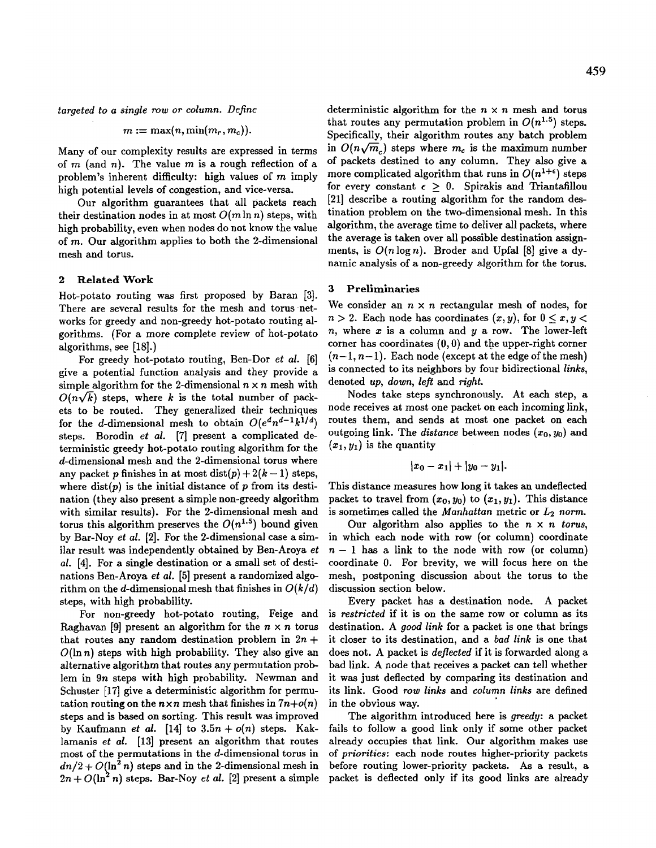*targeted to a single row or column. Define* 

$$
m := \max(n, \min(m_r, m_c)).
$$

Many of our complexity results are expressed in terms of  $m$  (and  $n$ ). The value  $m$  is a rough reflection of a problem's inherent difficulty: high values of m imply high potential levels of congestion, and vice-versa.

Our algorithm guarantees that all packets reach their destination nodes in at most  $O(m \ln n)$  steps, with high probability, even when nodes do not know the value of m. Our algorithm applies to both the 2-dimensional mesh and torus.

### 2 Related Work

Hot-potato routing was first proposed by Baran [3]. There are several results for the mesh and torus networks for greedy and non-greedy hot-potato routing algorithms. (For a more complete review of hot-potato algorithms, see [18].)

For greedy hot-potato routing, Ben-Dor *et al.* [6] give a potential function analysis and they provide a simple algorithm for the 2-dimensional  $n \times n$  mesh with  $O(n\sqrt{k})$  steps, where k is the total number of packets to be routed. They generalized their techniques for the d-dimensional mesh to obtain  $O(e^d n^{d-1}k^{1/d})$ steps. Borodin *et al.* [7] present a complicated deterministic greedy hot-potato routing algorithm for the d-dimensional mesh and the 2-dimensional torus where any packet p finishes in at most  $dist(p) + 2(k-1)$  steps, where  $dist(p)$  is the initial distance of p from its destination (they also present a simple non-greedy algorithm with similar results). For the 2-dimensional mesh and torus this algorithm preserves the  $O(n^{1.5})$  bound given by Bar-Noy *et al.* [2]. For the 2-dimensional case a similar result was independently obtained by Ben-Aroya *et al.* [4]. For a single destination or a small set of destinations Ben-Aroya *et al.* [5] present a randomized algorithm on the *d*-dimensional mesh that finishes in  $O(k/d)$ steps, with high probability.

For non-greedy hot-potato routing, Feige and Raghavan [9] present an algorithm for the  $n \times n$  torus that routes any random destination problem in  $2n +$  $O(\ln n)$  steps with high probability. They also give an alternative algorithm that routes any permutation problem in 9n steps with high probability. Newman and Schuster [17] give a deterministic algorithm for permutation routing on the  $n \times n$  mesh that finishes in  $7n+o(n)$ steps and is based on sorting. This result was improved by Kaufmann *et al.* [14] to  $3.5n + o(n)$  steps. Kaklamanis *et al.* [13] present an algorithm that routes most of the permutations in the d-dimensional torus in  $dn/2 + O(\ln^2 n)$  steps and in the 2-dimensional mesh in  $2n + O(\ln^2 n)$  steps. Bar-Noy *et al.* [2] present a simple

deterministic algorithm for the  $n \times n$  mesh and torus that routes any permutation problem in  $O(n^{1.5})$  steps. Specifically, their algorithm routes any batch problem in  $O(n\sqrt{m_c})$  steps where  $m_c$  is the maximum number of packets destined to any column. They also give a more complicated algorithm that runs in  $O(n^{1+\epsilon})$  steps for every constant  $\epsilon > 0$ . Spirakis and Triantafillou [21] describe a routing algorithm for the random destination problem on the two-dimensional mesh. In this algorithm, the average time to deliver all packets, where the average is taken over all possible destination assignments, is  $O(n \log n)$ . Broder and Upfal [8] give a dynamic analysis of a non-greedy algorithm for the torus.

# **3** Preliminaries

We consider an  $n \times n$  rectangular mesh of nodes, for  $n > 2$ . Each node has coordinates  $(x, y)$ , for  $0 \le x, y <$ n, where  $x$  is a column and  $y$  a row. The lower-left corner has coordinates  $(0, 0)$  and the upper-right corner  $(n-1, n-1)$ . Each node (except at the edge of the mesh) is connected to its neighbors by four bidirectional *links,*  denoted *up, down, left* and *right.* 

Nodes take steps synchronously. At each step, a node receives at most one packet on each incoming link, routes them, and sends at most one packet on each outgoing link. The *distance* between nodes  $(x_0, y_0)$  and  $(x_1, y_1)$  is the quantity

$$
|x_0-x_1|+|y_0-y_1|.
$$

This distance measures how long it takes an undeflected packet to travel from  $(x_0, y_0)$  to  $(x_1, y_1)$ . This distance is sometimes called the *Manhattan* metric or *L2 norm.* 

Our algorithm also applies to the *n x n torus,*  in which each node with row (or column) coordinate  $n-1$  has a link to the node with row (or column) coordinate 0. For brevity, we will focus here on the mesh, postponing discussion about the torus to the discussion section below.

Every packet has a destination node. A packet is *restricted* if it is on the same row or column as its destination. A *good link* for a packet is one that brings it closer to its destination, and a *bad link* is one that does not. A packet is *deflected* if it is forwarded along a bad link. A node that receives a packet can tell whether it was just deflected by comparing its destination and its link. Good *row links* and *column links* are defined in the obvious way.

The algorithm introduced here is *greedy:* a packet fails to follow a good link only if some other packet already occupies that link. Our algorithm makes use of *priorities:* each node routes higher-priority packets before routing lower-priority packets. As a result, a packet is deflected only if its good links are already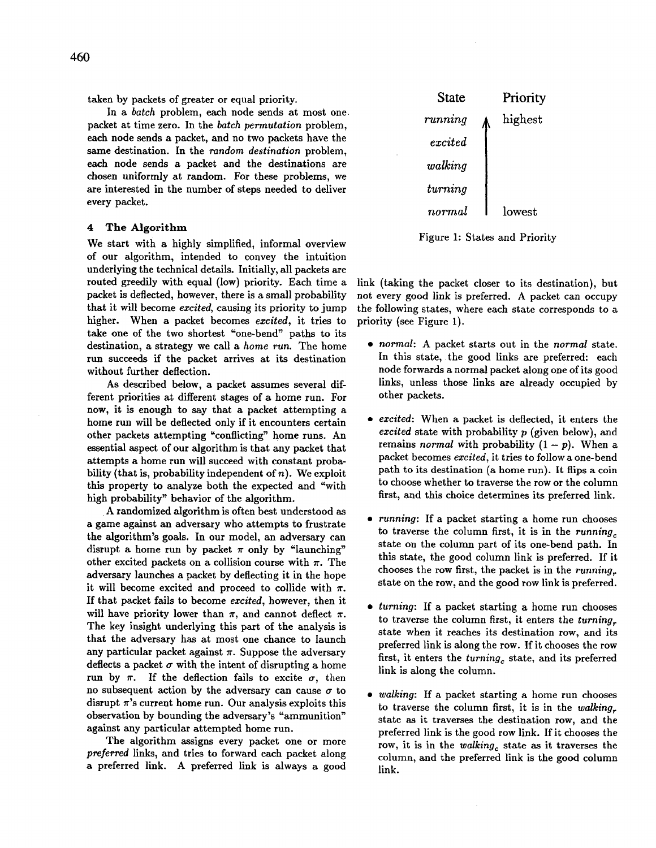taken by packets of greater or equal priority.

In a *batch* problem, each node sends at most one packet at time zero. In the *batch permutation* problem, each node sends a packet, and no two packets have the same destination. In the *random destination* problem, each node sends a packet and the destinations are chosen uniformly at random. For these problems, we are interested in the number of steps needed to deliver every packet.

#### **4 The Algorithm**

We start with a highly simplified, informal overview of our algorithm, intended to convey the intuition underlying the technical details. Initially, all packets are routed greedily with equal (low) priority. Each time a packet is deflected, however, there is a small probability that it will become *excited,* causing its priority to jump higher. When a packet becomes *excited,* it tries to take one of the two shortest "one-bend" paths to its destination, a strategy we call a *home run.* The home run succeeds if the packet arrives at its destination without further deflection.

As described below, a packet assumes several different priorities at different stages of a home run. For now, it is enough to say that a packet attempting a home run will be deflected only if it encounters certain other packets attempting "conflicting" home runs. An essential aspect of our algorithm is that any packet that attempts a home run will succeed with constant probability (that is, probability independent of  $n$ ). We exploit this property to analyze both the expected and "with high probability" behavior of the algorithm.

• A randomized algorithm is often best understood as a game against an adversary who attempts to frustrate the algorithm's goals. In our model, an adversary can disrupt a home run by packet  $\pi$  only by "launching" other excited packets on a collision course with  $\pi$ . The adversary launches a packet by deflecting it in the hope it will become excited and proceed to collide with  $\pi$ . If that packet fails to become *excited,* however, then it will have priority lower than  $\pi$ , and cannot deflect  $\pi$ . The key insight underlying this part of the analysis is that the adversary has at most one chance to launch any particular packet against  $\pi$ . Suppose the adversary deflects a packet  $\sigma$  with the intent of disrupting a home run by  $\pi$ . If the deflection fails to excite  $\sigma$ , then no subsequent action by the adversary can cause  $\sigma$  to disrupt  $\pi$ 's current home run. Our analysis exploits this observation by bounding the adversary's "ammunition" against any particular attempted home run.

The algorithm assigns every packet one or more *preferred* links, and tries to forward each packet along a preferred link. A preferred link is always a good



Figure 1: States and Priority

link (taking the packet closer to its destination), but not every good link is preferred. A packet can occupy the following states, where each state corresponds to a priority (see Figure 1).

- *normal:* A packet starts out in the *normal* state. In this state, the good links are preferred: each node forwards a normal packet along one of its good links, unless those links are already occupied by other packets.
- *excited:* When a packet is deflected, it enters the *excited* state with probability p (given below), and remains *normal* with probability  $(1 - p)$ . When a packet becomes *excited,* it tries to follow a one-bend path to its destination (a home run). It flips a coin to choose whether to traverse the row or the column first, and this choice determines its preferred link.
- *running:* If a packet starting a home run chooses to traverse the column first, it is in the *running*. state on the column part of its one-bend path. In this state, the good column link is preferred. If it chooses the row first, the packet is in the *running*. state on the row, and the good row link is preferred.
- *turning:* If a packet starting a home run chooses to traverse the column first, it enters the *turning*, state when it reaches its destination row, and its preferred link is along the row. If it chooses the row first, it enters the *turning<sub>c</sub>* state, and its preferred link is along the column.
- *walking:* If a packet starting a home run chooses to traverse the column first, it is in the *walking*. state as it traverses the destination row, and the preferred link is the good row link. If it chooses the row, it is in the *walking*<sub>c</sub> state as it traverses the column, and the preferred link is the good column link.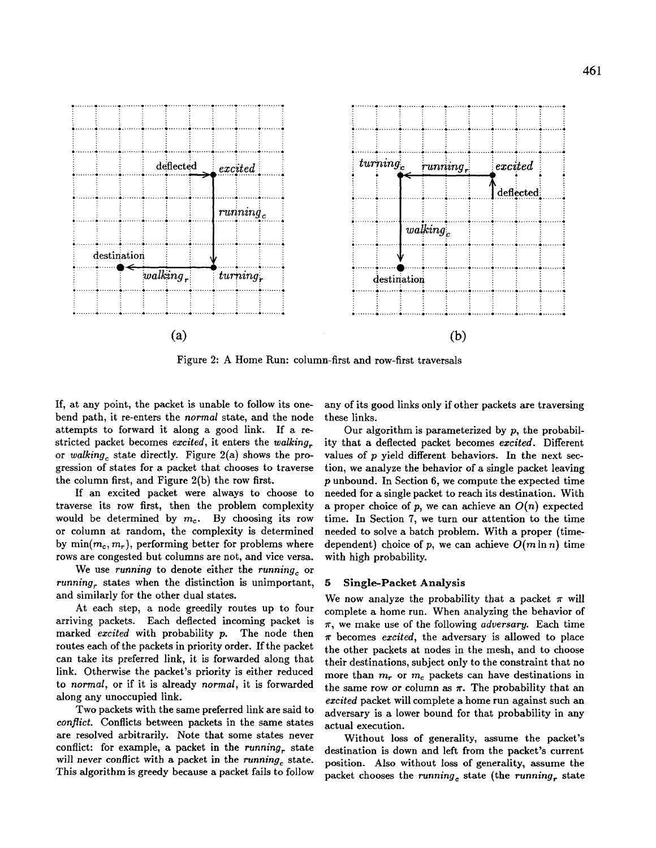

Figure 2: A Home Run: column-first and row-first traversals

If, at any point, the packet is unable to follow its onebend path, it re-enters the *normal* state, and the node attempts to forward it along a good link. If a restricted packet becomes *excited*, it enters the *walking*<sub>r</sub> or *walking*, state directly. Figure 2(a) shows the progression of states for a packet that chooses to traverse the column first, and Figure 2(b) the row first.

If an excited packet were always to choose to traverse its row first, then the problem complexity would be determined by *me.* By choosing its row or column at random, the complexity is determined by  $\min(m_c, m_r)$ , performing better for problems where rows are congested but columns are not, and vice versa.

We use *running* to denote either the *running* or *running*, states when the distinction is unimportant, and similarly for the other dual states.

At each step, a node greedily routes up to four arriving packets. Each deflected incoming packet is marked *excited* with probability p. The node then routes each of the packets in priority order. If the packet can take its preferred link, it is forwarded along that link. Otherwise the packet's priority is either reduced to *normal,* or if it is already *normal,* it is forwarded along any unoccupied link.

Two packets with the same preferred link are said to *conflict.* Conflicts between packets in the same states are resolved arbitrarily. Note that some states never conflict: for example, a packet in the *running*, state will never conflict with a packet in the *running*, state. This algorithm is greedy because a packet fails to follow any of its good links only if other packets are traversing these links.

Our algorithm is parameterized by  $p$ , the probability that a deflected packet becomes *excited.* Different values of p yield different behaviors. In the next section, we analyze the behavior of a single packet leaving p unbound. In Section 6, we compute the expected time needed for a single packet to reach its destination. With a proper choice of  $p$ , we can achieve an  $O(n)$  expected time. In Section 7, we turn our attention to the time needed to solve a batch problem. With a proper (timedependent) choice of p, we can achieve  $O(m \ln n)$  time with high probability.

# 5 Single-Packet Analysis

We now analyze the probability that a packet  $\pi$  will complete a home run. When analyzing the behavior of  $\pi$ , we make use of the following *adversary*. Each time  $\pi$  becomes *excited*, the adversary is allowed to place the other packets at nodes in the mesh, and to choose their destinations, subject only to the constraint that no more than  $m_r$  or  $m_c$  packets can have destinations in the same row or column as  $\pi$ . The probability that an *excited* packet will complete a home run against such an adversary is a lower bound for that probability in any actual execution.

Without loss of generality, assume the packet's destination is down and left from the packet's current position. Also without loss of generality, assume the packet chooses the *running*<sub>c</sub> state (the *running*<sub>r</sub> state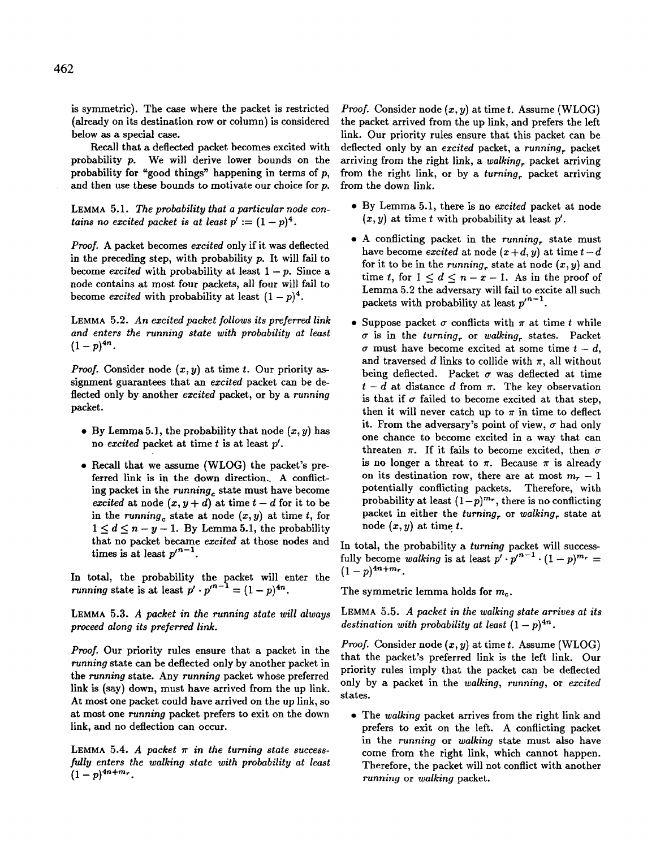is symmetric). The case where the packet is restricted (already on its destination row or column) is considered below as a special case.

Recall that a deflected packet becomes excited with probability p. We will derive lower bounds on the probability for "good things" happening in terms of  $p$ , and then use these bounds to motivate our choice for p.

LEMMA 5.1. *The probability that a particular node contains no excited packet is at least*  $p' := (1-p)^4$ .

*Proof.* A packet becomes *excited* only if it was deflected in the preceding step, with probability p. It will fail to become *excited* with probability at least  $1 - p$ . Since a node contains at most four packets, all four will fail to become *excited* with probability at least  $(1-p)^4$ .

LEMMA 5.2. *An excited packet follows its preferred link and enters the running state with probability at least*   $(1-p)^{4n}$ .

*Proof.* Consider node  $(x, y)$  at time t. Our priority assignment guarantees that an *excited* packet can be deflected only by another *excited* packet, or by a *running*  packet.

- By Lemma 5.1, the probability that node  $(x, y)$  has no *excited* packet at time t is at least p'.
- Recall that we assume (WLOG) the packet's preferred link is in the down direction.. A conflicting packet in the *running<sub>c</sub>* state must have become *excited* at node  $(x, y + d)$  at time  $t - d$  for it to be in the *running<sub>c</sub>* state at node  $(x, y)$  at time t, for  $1 \leq d \leq n-y-1$ . By Lemma 5.1, the probability that no packet became *excited* at those nodes and times is at least  $p'^{n-1}$ .

In total, the probability the packet will enter the *running* state is at least  $p' \cdot p'^{n-1} = (1 - p)^{4n}$ .

LEMMA 5.3. *A packet in the running state will always proceed along its preferred link.* 

*Proof.* Our priority rules ensure that a packet in the *running* state can be deflected only by another packet in the *running* state. Any *running* packet whose preferred link is (say) down, must have arrived from the up link. At most one packet could have arrived on the up link, so at most one running packet prefers to exit on the down link, and no deflection can occur.

LEMMA 5.4. *A packet*  $\pi$  *in the turning state successfully enters the walking state with probability at least*   $(1-p)^{4n+m_r}$ .

*Proof.* Consider node  $(x, y)$  at time t. Assume (WLOG) the packet arrived from the up link, and prefers the left link. Our priority rules ensure that this packet can be deflected only by an *excited* packet, a *running*, packet arriving from the right link, a *walking*, packet arriving from the right link, or by a *turning* packet arriving from the down link.

- By Lemma 5.1, there is no *excited* packet at node  $(x, y)$  at time t with probability at least p'.
- A conflicting packet in the *running*, state must have become *excited* at node  $(x+d, y)$  at time  $t-d$ for it to be in the *running*<sub>r</sub> state at node  $(x, y)$  and time t, for  $1 \leq d \leq n-x-1$ . As in the proof of Lemma 5.2 the adversary will fail to excite all such packets with probability at least  $p'^{n-1}$ .
- Suppose packet  $\sigma$  conflicts with  $\pi$  at time t while  $\sigma$  is in the *turning*, or *walking*, states. Packet  $\sigma$  must have become excited at some time  $t - d$ , and traversed d links to collide with  $\pi$ , all without being deflected. Packet  $\sigma$  was deflected at time  $t - d$  at distance d from  $\pi$ . The key observation is that if  $\sigma$  failed to become excited at that step, then it will never catch up to  $\pi$  in time to deflect it. From the adversary's point of view,  $\sigma$  had only one chance to become excited in a way that can threaten  $\pi$ . If it fails to become excited, then  $\sigma$ is no longer a threat to  $\pi$ . Because  $\pi$  is already on its destination row, there are at most  $m_r - 1$ potentially conflicting packets. Therefore, with probability at least  $(1-p)^{m_r}$ , there is no conflicting packet in either the *turning*, or *walking*, state at node  $(x, y)$  at time t.

In total, the probability a *turning* packet will successfully become *walking* is at least  $p' \cdot p'^{n-1} \cdot (1-p)^{m_r} =$  $(1-p)^{4n+m_r}$ .

The symmetric lemma holds for  $m_c$ .

LEMMA 5.5. *A packet in the walking state arrives at its destination with probability at least*  $(1-p)^{4n}$ .

*Proof.* Consider node  $(x, y)$  at time t. Assume (WLOG) that the packet's preferred link is the left link. Our priority rules imply that the packet can be deflected only by a packet in the *walking, running,* or *excited*  states.

• The *walking* packet arrives from the right link and prefers to exit on the left. A conflicting packet in the *running* or *walking* state must also have come from the right link, which cannot happen. Therefore, the packet will not conflict with another *running* or *walking* packet.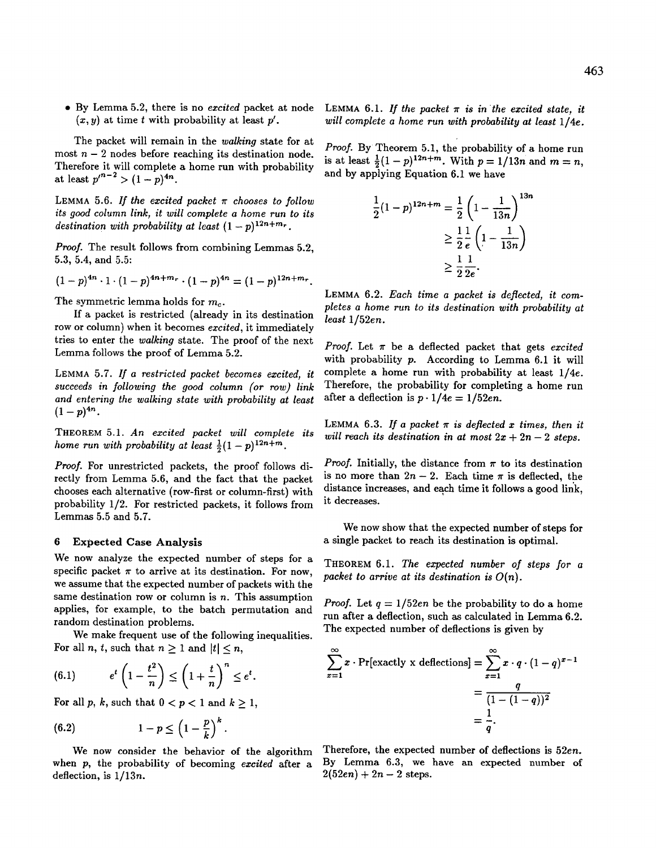• By Lemma 5.2, there is no *excited* packet at node  $(x, y)$  at time t with probability at least p'.

The packet will remain in the *walking* state for at most  $n-2$  nodes before reaching its destination node. Therefore it will complete a home run with probability at least  $p'^{n-2} > (1-p)^{4n}$ .

LEMMA 5.6. If the excited packet  $\pi$  chooses to follow *its good column link, it will complete a home run to its destination with probability at least*  $(1 - p)^{12n+m_r}$ .

*Proof.* The result follows from combining Lemmas 5.2, 5.3, 5.4, and 5.5:

$$
(1-p)^{4n} \cdot 1 \cdot (1-p)^{4n+m_r} \cdot (1-p)^{4n} = (1-p)^{12n+m_r}.
$$

The symmetric lemma holds for  $m_c$ .

If a packet is restricted (already in its destination row or column) when it becomes *excited,* it immediately tries to enter the *walking* state. The proof of the next Lemma follows the proof of Lemma 5.2.

LEMMA 5.7. *If a restricted packet becomes excited, it succeeds in following the good column (or row) link and entering the walking state with probability at least*   $(1-p)^{4n}$ .

THEOREM 5.1. *An excited packet will complete its home run with probability at least*  $\frac{1}{2}(1-p)^{12n+m}$ .

*Proof.* For unrestricted packets, the proof follows directly from Lemma 5.6, and the fact that the packet chooses each alternative (row-first or column-first) with probability 1/2. For restricted packets, it follows from Lemmas 5.5 and 5.7.

# **6 Expected Case** Analysis

We now analyze the expected number of steps for a specific packet  $\pi$  to arrive at its destination. For now, we assume that the expected number of packets with the same destination row or column is  $n$ . This assumption applies, for example, to the batch permutation and random destination problems.

We make frequent use of the following inequalities. For all n, t, such that  $n \geq 1$  and  $|t| \leq n$ ,

(6.1) 
$$
e^t \left(1 - \frac{t^2}{n}\right) \leq \left(1 + \frac{t}{n}\right)^n \leq e^t.
$$

For all p, k, such that  $0 < p < 1$  and  $k \ge 1$ ,

$$
(6.2) \t 1-p \leq \left(1-\frac{p}{k}\right)^{k}.
$$

We now consider the behavior of the algorithm when p, the probability of becoming *excited* after a deflection, is 1/13n.

LEMMA 6.1. If the packet  $\pi$  is in the excited state, it *will complete a home run with probability at least* 1/4e.

*Proof.* By Theorem 5.1, the probability of a home run is at least  $\frac{1}{2}(1 - p)^{12n+m}$ . With  $p = 1/13n$  and  $m = n$ , and by applying Equation 6.1 we have

$$
\frac{1}{2}(1-p)^{12n+m} = \frac{1}{2}\left(1-\frac{1}{13n}\right)^{13n} \ge \frac{1}{2}\frac{1}{e}\left(1-\frac{1}{13n}\right) \ge \frac{1}{2}\frac{1}{2e}.
$$

LEMMA 6.2. *Each time a packet is deflected, it completes a home run to its destination with probability at least 1/52en.* 

*Proof.* Let  $\pi$  be a deflected packet that gets *excited* with probability p. According to Lemma 6.1 it will complete a home run with probability at least 1/4e. Therefore, the probability for completing a home run after a deflection is  $p \cdot 1/4e = 1/52en$ .

LEMMA 6.3. If a packet  $\pi$  is deflected x times, then it *will reach its destination in at most*  $2x + 2n - 2$  *steps.* 

*Proof.* Initially, the distance from  $\pi$  to its destination is no more than  $2n - 2$ . Each time  $\pi$  is deflected, the distance increases, and each time it follows a good link, it decreases.

We now show that the expected number of steps for a single packet to reach its destination is optimal.

THEOREM 6.1. *The expected number of steps for a packet to arrive at its destination is O(n).* 

*Proof.* Let  $q = 1/52en$  be the probability to do a home run after a deflection, such as calculated in Lemma 6.2. The expected number of deflections is given by

$$
\sum_{x=1}^{\infty} x \cdot \Pr\{\text{exactly x deflections}\} = \sum_{x=1}^{\infty} x \cdot q \cdot (1-q)^{x-1}
$$

$$
= \frac{q}{(1-(1-q))^2}
$$

$$
= \frac{1}{q}.
$$

Therefore, the expected number of deflections is 52en. By Lemma 6.3, we have an expected number of  $2(52en) + 2n - 2$  steps.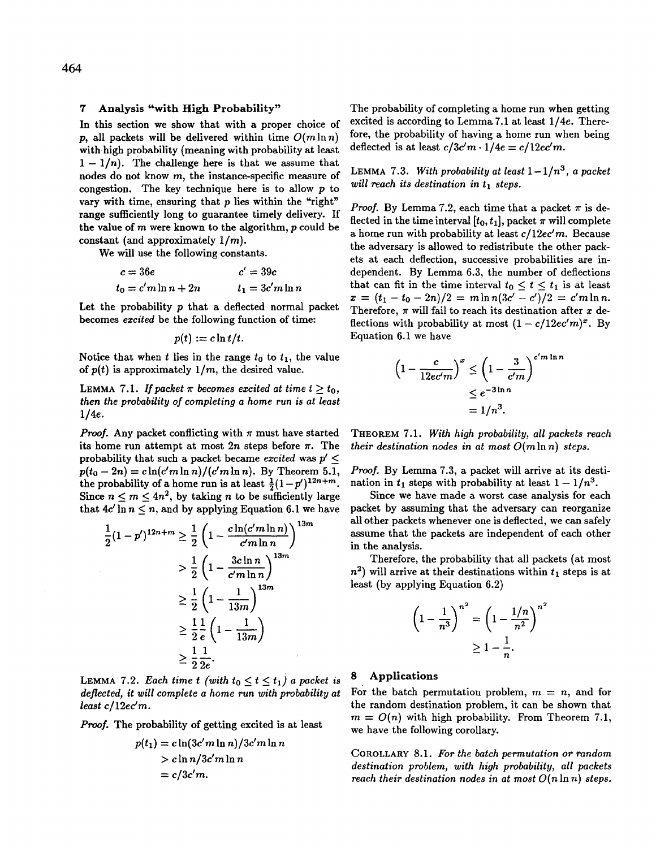# 7 Analysis "with High Probability"

In this section we show that with a proper choice of p, all packets will be delivered within time  $O(m \ln n)$ with high probability (meaning with probability at least  $1 - 1/n$ . The challenge here is that we assume that nodes do not know m, the instance-specific measure of congestion. The key technique here is to allow  $p$  to vary with time, ensuring that  $p$  lies within the "right" range sufficiently long to guarantee timely delivery. If the value of  $m$  were known to the algorithm,  $p$  could be constant (and approximately *l/m).* 

We will use the following constants.

$$
c = 36e
$$
  
\n
$$
t_0 = c'm \ln n + 2n
$$
  
\n
$$
c' = 39c
$$
  
\n
$$
t_1 = 3c'm \ln n
$$

Let the probability  $p$  that a deflected normal packet becomes *excited* be the following function of time:

$$
p(t) := c \ln t / t.
$$

Notice that when  $t$  lies in the range  $t_0$  to  $t_1$ , the value of  $p(t)$  is approximately  $1/m$ , the desired value.

LEMMA 7.1. If packet  $\pi$  becomes excited at time  $t \geq t_0$ , *then the probability of completing a home run is at least*  1/4e.

*Proof.* Any packet conflicting with  $\pi$  must have started its home run attempt at most  $2n$  steps before  $\pi$ . The probability that such a packet became *excited was p' <*   $p(t_0 - 2n) = c \ln(c'm \ln n)/(c'm \ln n)$ . By Theorem 5.1, the probability of a home run is at least  $\frac{1}{2}(1-p')^{12n+m}$ . Since  $n \leq m \leq 4n^2$ , by taking n to be sufficiently large that  $4c' \ln n < n$ , and by applying Equation 6.1 we have

$$
\frac{1}{2}(1-p')^{12n+m} \ge \frac{1}{2}\left(1 - \frac{c\ln(c'm\ln n)}{c'm\ln n}\right)^{13m}
$$

$$
> \frac{1}{2}\left(1 - \frac{3c\ln n}{c'm\ln n}\right)^{13m}
$$

$$
\ge \frac{1}{2}\left(1 - \frac{1}{13m}\right)^{13m}
$$

$$
\ge \frac{1}{2}\frac{1}{e}\left(1 - \frac{1}{13m}\right)
$$

$$
\ge \frac{1}{2}\frac{1}{2e}.
$$

LEMMA 7.2. *Each time t (with t<sub>0</sub>*  $\leq t \leq t_1$ *) a packet is deflected, it will complete a home run with probability at least c/12eelm.* 

*Proof.* The probability of getting excited is at least

$$
p(t_1) = c \ln(3c'm \ln n)/3c'm \ln n
$$
  
> 
$$
c \ln n/3c'm \ln n
$$
  
= 
$$
c/3c'm.
$$

The probability of completing a home run when getting excited is according to Lemma 7.1 at least 1/4e. Therefore, the probability of having a home run when being deflected is at least  $c/3c'm \cdot 1/4e = c/12ec'm$ .

LEMMA 7.3. With probability at least  $1-1/n^3$ , a packet *will reach its destination in t<sub>1</sub> steps.* 

*Proof.* By Lemma 7.2, each time that a packet  $\pi$  is deflected in the time interval  $[t_0, t_1]$ , packet  $\pi$  will complete a home run with probability at least *c/12ec'm.* Because the adversary is allowed to redistribute the other packets at each deflection, successive probabilities are independent. By Lemma 6.3, the number of deflections that can fit in the time interval  $t_0 \leq t \leq t_1$  is at least  $x = (t_1 - t_0 - 2n)/2 = m \ln n (3c' - c')/2 = c' m \ln n.$ Therefore,  $\pi$  will fail to reach its destination after  $x$  deflections with probability at most  $(1 - c/12ec'm)^x$ . By Equation 6.1 we have

$$
\left(1 - \frac{c}{12ec'm}\right)^x \le \left(1 - \frac{3}{c'm}\right)^{c'm\ln n}
$$

$$
\le e^{-3\ln n}
$$

$$
= 1/n^3.
$$

THEOREM 7.1. *With high probability, all packets reach their destination nodes in at most*  $O(m \ln n)$  *steps.* 

Proof. By Lemma 7.3, a packet will arrive at its destination in  $t_1$  steps with probability at least  $1 - 1/n^3$ .

Since we have made a worst case analysis for each packet by assuming that the adversary can reorganize all other packets whenever one is deflected, we can safely assume that the packets are independent of each other in the analysis.

Therefore, the probability that all packets (at most  $n<sup>2</sup>$ ) will arrive at their destinations within  $t<sub>1</sub>$  steps is at least (by applying Equation 6.2)

$$
\left(1 - \frac{1}{n^3}\right)^{n^2} = \left(1 - \frac{1/n}{n^2}\right)^{n^2}
$$

$$
\geq 1 - \frac{1}{n}.
$$

### **8 Applications**

For the batch permutation problem,  $m = n$ , and for the random destination problem, it can be shown that  $m = O(n)$  with high probability. From Theorem 7.1, we have the following corollary.

COROLLARY 8.1. *For the batch permutation or random destination problem, with high probability, all packets reach their destination nodes in at most O(n* In *n) steps.*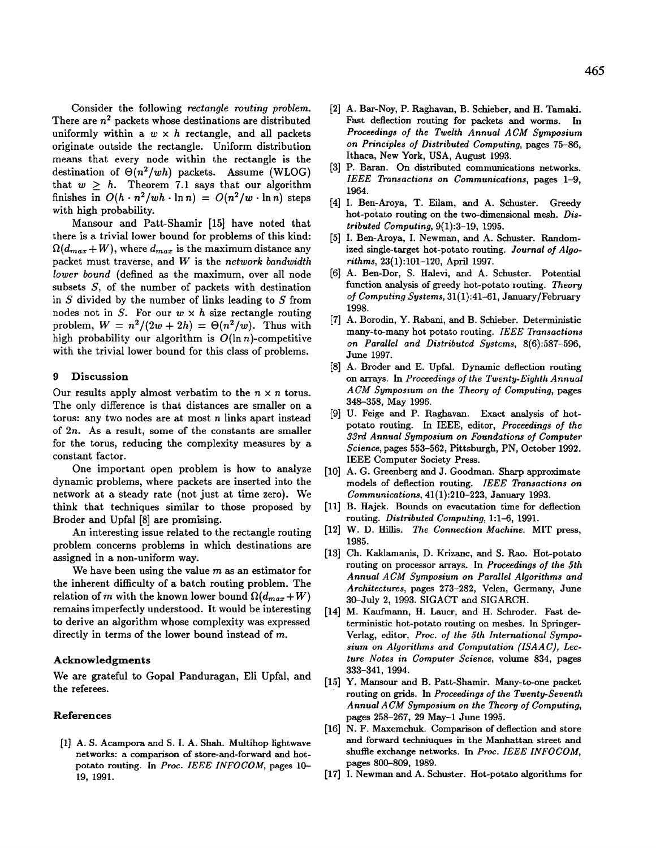Consider the following *rectangle routing problem.*  There are  $n^2$  packets whose destinations are distributed uniformly within a  $w \times h$  rectangle, and all packets originate outside the rectangle. Uniform distribution means that every node within the rectangle is the destination of  $\Theta(n^2/wh)$  packets. Assume (WLOG) that  $w \geq h$ . Theorem 7.1 says that our algorithm finishes in  $O(h \cdot n^2/wh \cdot \ln n) = O(n^2/w \cdot \ln n)$  steps with high probability.

Mansour and Patt-Shamir [15] have noted that there is a trivial lower bound for problems of this kind:  $\Omega(d_{max} + W)$ , where  $d_{max}$  is the maximum distance any packet must traverse, and W is the *network bandwidth lower bound* (defined as the maximum, over all node subsets S, of the number of packets with destination in  $S$  divided by the number of links leading to  $S$  from nodes not in S. For our  $w \times h$  size rectangle routing problem,  $W = n^2/(2w + 2h) = \Theta(n^2/w)$ . Thus with high probability our algorithm is  $O(\ln n)$ -competitive with the trivial lower bound for this class of problems.

### 9 Discussion

Our results apply almost verbatim to the  $n \times n$  torus. The only difference is that distances are smaller on a torus: any two nodes are at most  $n$  links apart instead of 2n. As a result, some of the constants are smaller for the torus, reducing the complexity measures by a constant factor.

One important open problem is how to analyze dynamic problems, where packets are inserted into the network at a steady rate (not just at time zero). We think that techniques similar to those proposed by Broder and Upfal [8] are promising.

An interesting issue related to the rectangle routing problem concerns problems in which destinations are assigned in a non-uniform way.

We have been using the value  $m$  as an estimator for the inherent difficulty of a batch routing problem. The relation of m with the known lower bound  $\Omega(d_{max} + W)$ remains imperfectly understood. It would be interesting to derive an algorithm whose complexity was expressed directly in terms of the lower bound instead of m.

# Acknowledgments

We are grateful to Gopal Panduragan, Eli Upfal, and the referees.

### References

[1] A. S. Acampora and S. I. A. Shah. Multihop lightwave networks: a comparison of store-and-forward and hotpotato routing. In *Proc. IEEE INFOCOM*, pages 10-19, 1991.

- [2] A. Bar-Noy, P. Raghavan, B. Schieber, and H. Tamaki. Fast deflection routing for packets and worms. In *Proceedings of the Twelth Annual ACM Symposium on Principles of Distributed Computing,* pages 75-86, Ithaca, New York, USA, August 1993.
- [3] P. Baran. On distributed communications networks. *IEEE Transactions on Communications,* pages 1-9, 1964.
- [4] I. Ben-Aroya, T. Eilam, and A. Schuster. Greedy hot-potato routing on the two-dimensional mesh. *Distributed Computing,* 9(1):3-19, 1995.
- [5] I. Ben-Aroya, I. Newman, and A. Schuster. Randomized single-target hot-potato routing. *Journal of Algorithms,* 23(1):101-120, April 1997.
- [6] A. Ben-Dor, S. Halevi, and A. Schuster. Potential function analysis of greedy hot-potato routing. *Theory of Computing Systems,* 31(1):41-61, January/February 1998.
- [7] A. Borodin, Y. Rabani, and B. Schieber. Deterministic many-to-many hot potato routing. *IEEE Transactions on Parallel and Distributed Systems,* 8(6):587-596, June 1997.
- [8] A. Broder and E. Upfal. Dynamic deflection routing on arrays. In *Proceedings of the Twenty-Eighth Annual A CM Symposium on the Theory of Computing,* pages 348-358, May 1996.
- [9] U. Feige and P. Raghavan. Exact analysis of hotpotato routing. In IEEE, editor, *Proceedings of the 33rd Annual Symposium on Foundations of Computer Science,* pages 553-562, Pittsburgh, PN, October 1992. IEEE Computer Society Press.
- [10] A. G. Greenberg and J. Goodman. Sharp approximate models of deflection routing. *IEEE Transactions on Communications, 41(1):210-223, January 1993.*
- [11] B. Hajek. Bounds on evacutation time for deflection routing. *Distributed Computing,* 1:1-6, 1991.
- [12] W. D. Hillis. *The Connection Machine.* MIT press, 1985.
- [13] Ch. Kaklamanis, D. Krizanc, and S. Rao. Hot-potato routing on processor arrays. In *Proceedings of the 5th Annual ACM Symposium on Parallel Algorithms and Architectures,* pages 273-282, Velen, Germany, June 30-July 2, 1993. SIGACT and SIGARCH.
- [14] M. Kaufmann, H. Lauer, and H. Schroder. Fast deterministic hot-potato routing on meshes. In Springer-Verlag, editor, Proc. of the 5th International Sympo*sium on Algorithms and Computation (ISAAC}, Lecture Notes in Computer Science,* volume 834, pages 333-341, 1994.
- [15] Y. Mansour and B. Patt-Shamir. Many-to-one packet routing on grids. In *Proceedings of the Twenty-Seventh Annual A CM Symposium on the Theory of Computing,*  pages 258-267, 29 May-1 June 1995.
- [16] N. F. Maxemchuk. Comparison of deflection and store and forward techniuques in the Manhattan street and shuffle exchange networks. In *Proc. IEEE INFOCOM,*  pages 800-809, 1989.
- [17] I. Newman and A. Schuster. Hot-potato algorithms for